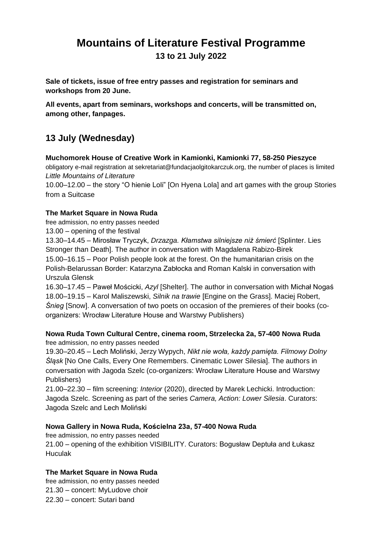# **Mountains of Literature Festival Programme 13 to 21 July 2022**

**Sale of tickets, issue of free entry passes and registration for seminars and workshops from 20 June.**

**All events, apart from seminars, workshops and concerts, will be transmitted on, among other, fanpages.**

# **13 July (Wednesday)**

**Muchomorek House of Creative Work in Kamionki, Kamionki 77, 58-250 Pieszyce**

obligatory e-mail registration at sekretariat@fundacjaolgitokarczuk.org, the number of places is limited *Little Mountains of Literature*

10.00–12.00 – the story "O hienie Loli" [On Hyena Lola] and art games with the group Stories from a Suitcase

### **The Market Square in Nowa Ruda**

free admission, no entry passes needed

13.00 – opening of the festival

13.30–14.45 – Mirosław Tryczyk, *Drzazga. Kłamstwa silniejsze niż śmierć* [Splinter. Lies Stronger than Death]. The author in conversation with Magdalena Rabizo-Birek 15.00–16.15 – Poor Polish people look at the forest. On the humanitarian crisis on the Polish-Belarussan Border: Katarzyna Zabłocka and Roman Kalski in conversation with Urszula Glensk

16.30–17.45 – Paweł Mościcki, *Azyl* [Shelter]. The author in conversation with Michał Nogaś 18.00–19.15 – Karol Maliszewski, *Silnik na trawie* [Engine on the Grass]. Maciej Robert, *Śnieg* [Snow]. A conversation of two poets on occasion of the premieres of their books (coorganizers: Wrocław Literature House and Warstwy Publishers)

### **Nowa Ruda Town Cultural Centre, cinema room, Strzelecka 2a, 57-400 Nowa Ruda** free admission, no entry passes needed

19.30–20.45 – Lech Moliński, Jerzy Wypych, *Nikt nie woła, każdy pamięta. Filmowy Dolny Śląsk* [No One Calls, Every One Remembers. Cinematic Lower Silesia]. The authors in conversation with Jagoda Szelc (co-organizers: Wrocław Literature House and Warstwy Publishers)

21.00–22.30 – film screening: *Interior* (2020), directed by Marek Lechicki. Introduction: Jagoda Szelc. Screening as part of the series *Camera, Action: Lower Silesia*. Curators: Jagoda Szelc and Lech Moliński

### **Nowa Gallery in Nowa Ruda, Kościelna 23a, 57-400 Nowa Ruda**

free admission, no entry passes needed 21.00 – opening of the exhibition VISIBILITY. Curators: Bogusław Deptuła and Łukasz **Huculak** 

## **The Market Square in Nowa Ruda**

free admission, no entry passes needed 21.30 – concert: MyLudove choir 22.30 – concert: Sutari band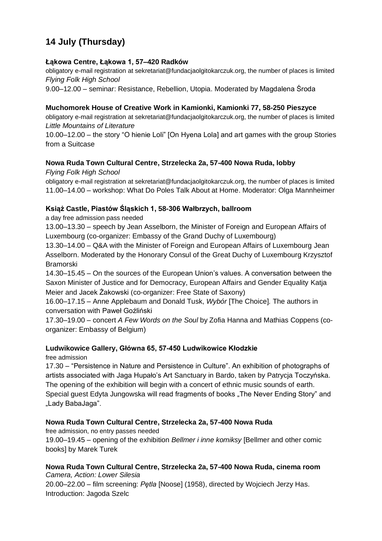# **14 July (Thursday)**

### **Łąkowa Centre, Łąkowa 1, 57–420 Radków**

obligatory e-mail registration at sekretariat@fundacjaolgitokarczuk.org, the number of places is limited *Flying Folk High School*

9.00–12.00 – seminar: Resistance, Rebellion, Utopia. Moderated by Magdalena Środa

### **Muchomorek House of Creative Work in Kamionki, Kamionki 77, 58-250 Pieszyce**

obligatory e-mail registration at sekretariat@fundacjaolgitokarczuk.org, the number of places is limited *Little Mountains of Literature*

10.00–12.00 – the story "O hienie Loli" [On Hyena Lola] and art games with the group Stories from a Suitcase

### **Nowa Ruda Town Cultural Centre, Strzelecka 2a, 57-400 Nowa Ruda, lobby**

*Flying Folk High School*

obligatory e-mail registration at sekretariat@fundacjaolgitokarczuk.org, the number of places is limited 11.00–14.00 – workshop: What Do Poles Talk About at Home. Moderator: Olga Mannheimer

### **Książ Castle, Piastów Śląskich 1, 58-306 Wałbrzych, ballroom**

a day free admission pass needed

13.00–13.30 – speech by Jean Asselborn, the Minister of Foreign and European Affairs of Luxembourg (co-organizer: Embassy of the Grand Duchy of Luxembourg)

13.30–14.00 – Q&A with the Minister of Foreign and European Affairs of Luxembourg Jean Asselborn. Moderated by the Honorary Consul of the Great Duchy of Luxembourg Krzysztof Bramorski

14.30–15.45 – On the sources of the European Union's values. A conversation between the Saxon Minister of Justice and for Democracy, European Affairs and Gender Equality Katja Meier and Jacek Żakowski (co-organizer: Free State of Saxony)

16.00–17.15 – Anne Applebaum and Donald Tusk, *Wybór* [The Choice]*.* The authors in conversation with Paweł Goźliński

17.30–19.00 – concert *A Few Words on the Soul* by Zofia Hanna and Mathias Coppens (coorganizer: Embassy of Belgium)

### **Ludwikowice Gallery, Główna 65, 57-450 Ludwikowice Kłodzkie**

free admission

17.30 – "Persistence in Nature and Persistence in Culture". An exhibition of photographs of artists associated with Jaga Hupało's Art Sanctuary in Bardo, taken by Patrycja Toczyńska. The opening of the exhibition will begin with a concert of ethnic music sounds of earth. Special guest Edyta Jungowska will read fragments of books "The Never Ending Story" and "Lady BabaJaga".

### **Nowa Ruda Town Cultural Centre, Strzelecka 2a, 57-400 Nowa Ruda**

free admission, no entry passes needed

19.00–19.45 – opening of the exhibition *Bellmer i inne komiksy* [Bellmer and other comic books] by Marek Turek

**Nowa Ruda Town Cultural Centre, Strzelecka 2a, 57-400 Nowa Ruda, cinema room** *Camera, Action: Lower Silesia*

20.00–22.00 – film screening: *Pętla* [Noose] (1958), directed by Wojciech Jerzy Has. Introduction: Jagoda Szelc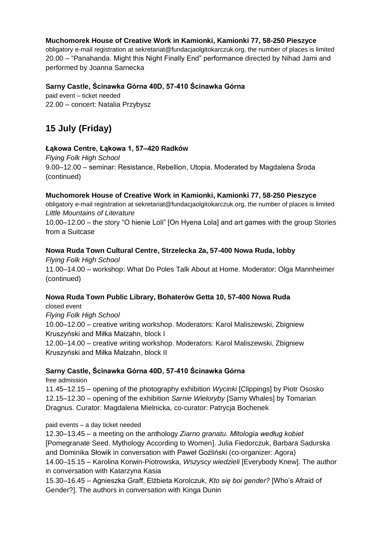### **Muchomorek House of Creative Work in Kamionki, Kamionki 77, 58-250 Pieszyce**

obligatory e-mail registration at sekretariat@fundacjaolgitokarczuk.org, the number of places is limited 20.00 – "Panahanda. Might this Night Finally End" performance directed by Nihad Jami and performed by Joanna Sarnecka

### **Sarny Castle, Ścinawka Górna 40D, 57-410 Ścinawka Górna**

paid event – ticket needed 22.00 – concert: Natalia Przybysz

## **15 July (Friday)**

### **Łąkowa Centre, Łąkowa 1, 57–420 Radków**

*Flying Folk High School* 9.00–12.00 – seminar: Resistance, Rebellion, Utopia. Moderated by Magdalena Środa (continued)

### **Muchomorek House of Creative Work in Kamionki, Kamionki 77, 58-250 Pieszyce**

obligatory e-mail registration at sekretariat@fundacjaolgitokarczuk.org, the number of places is limited *Little Mountains of Literature*

10.00–12.00 – the story "O hienie Loli" [On Hyena Lola] and art games with the group Stories from a Suitcase

### **Nowa Ruda Town Cultural Centre, Strzelecka 2a, 57-400 Nowa Ruda, lobby**

*Flying Folk High School* 11.00–14.00 – workshop: What Do Poles Talk About at Home. Moderator: Olga Mannheimer (continued)

### **Nowa Ruda Town Public Library, Bohaterów Getta 10, 57-400 Nowa Ruda**

closed event *Flying Folk High School* 10.00–12.00 – creative writing workshop. Moderators: Karol Maliszewski, Zbigniew Kruszyński and Miłka Malzahn, block I 12.00–14.00 – creative writing workshop. Moderators: Karol Maliszewski, Zbigniew Kruszyński and Miłka Malzahn, block II

### **Sarny Castle, Ścinawka Górna 40D, 57-410 Ścinawka Górna**

free admission

11.45–12.15 – opening of the photography exhibition *Wycinki* [Clippings] by Piotr Ososko 12.15–12.30 – opening of the exhibition *Sarnie Wieloryby* [Sarny Whales] by Tomarian Dragnus. Curator: Magdalena Mielnicka, co-curator: Patrycja Bochenek

### paid events – a day ticket needed

12.30–13.45 – a meeting on the anthology *Ziarno granatu. Mitologia według kobiet*  [Pomegranate Seed. Mythology According to Women]. Julia Fiedorczuk, Barbara Sadurska and Dominika Słowik in conversation with Paweł Goźliński (co-organizer: Agora) 14.00–15.15 – Karolina Korwin-Piotrowska, *Wszyscy wiedzieli* [Everybody Knew]. The author in conversation with Katarzyna Kasia

15.30–16.45 – Agnieszka Graff, Elżbieta Korolczuk, *Kto się boi gender?* [Who's Afraid of Gender?]. The authors in conversation with Kinga Dunin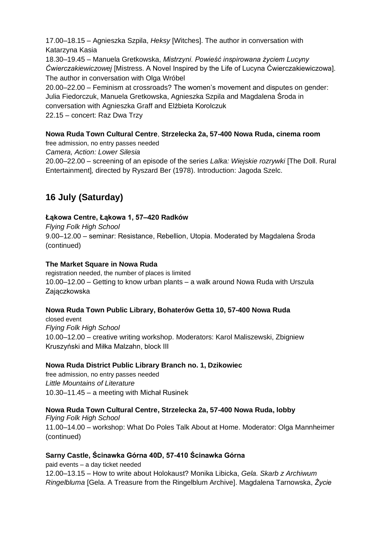17.00–18.15 – Agnieszka Szpila, *Heksy* [Witches]. The author in conversation with Katarzyna Kasia

18.30–19.45 – Manuela Gretkowska, *Mistrzyni. Powieść inspirowana życiem Lucyny Ćwierczakiewiczowej* [Mistress. A Novel Inspired by the Life of Lucyna Ćwierczakiewiczowa]. The author in conversation with Olga Wróbel 20.00–22.00 – Feminism at crossroads? The women's movement and disputes on gender: Julia Fiedorczuk, Manuela Gretkowska, Agnieszka Szpila and Magdalena Środa in conversation with Agnieszka Graff and Elżbieta Korolczuk 22.15 – concert: Raz Dwa Trzy

## **Nowa Ruda Town Cultural Centre**, **Strzelecka 2a, 57-400 Nowa Ruda, cinema room**

free admission, no entry passes needed

*Camera, Action: Lower Silesia*

20.00–22.00 – screening of an episode of the series *Lalka: Wiejskie rozrywki* [The Doll. Rural Entertainment]*,* directed by Ryszard Ber (1978). Introduction: Jagoda Szelc.

## **16 July (Saturday)**

### **Łąkowa Centre, Łąkowa 1, 57–420 Radków**

*Flying Folk High School* 9.00–12.00 – seminar: Resistance, Rebellion, Utopia. Moderated by Magdalena Środa (continued)

### **The Market Square in Nowa Ruda**

registration needed, the number of places is limited 10.00–12.00 – Getting to know urban plants – a walk around Nowa Ruda with Urszula Zajączkowska

### **Nowa Ruda Town Public Library, Bohaterów Getta 10, 57-400 Nowa Ruda**

closed event *Flying Folk High School* 10.00–12.00 – creative writing workshop. Moderators: Karol Maliszewski, Zbigniew Kruszyński and Miłka Malzahn, block III

### **Nowa Ruda District Public Library Branch no. 1, Dzikowiec**

free admission, no entry passes needed *Little Mountains of Literature* 10.30–11.45 – a meeting with Michał Rusinek

## **Nowa Ruda Town Cultural Centre, Strzelecka 2a, 57-400 Nowa Ruda, lobby**

*Flying Folk High School* 11.00–14.00 – workshop: What Do Poles Talk About at Home. Moderator: Olga Mannheimer (continued)

### **Sarny Castle, Ścinawka Górna 40D, 57-410 Ścinawka Górna**

paid events – a day ticket needed 12.00–13.15 – How to write about Holokaust? Monika Libicka, *Gela. Skarb z Archiwum Ringelbluma* [Gela. A Treasure from the Ringelblum Archive]. Magdalena Tarnowska, *Życie*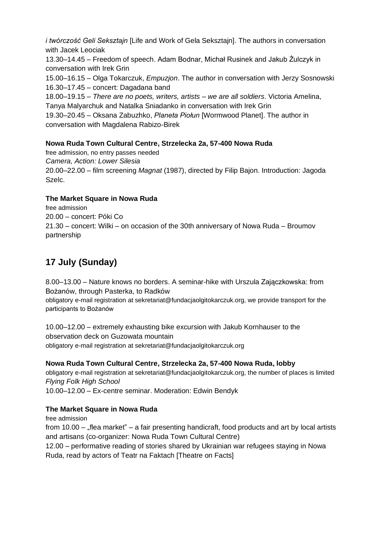*i twórczość Geli Seksztajn* [Life and Work of Gela Seksztajn]. The authors in conversation with Jacek Leociak

13.30–14.45 – Freedom of speech. Adam Bodnar, Michał Rusinek and Jakub Żulczyk in conversation with Irek Grin

15.00–16.15 – Olga Tokarczuk, *Empuzjon*. The author in conversation with Jerzy Sosnowski 16.30–17.45 – concert: Dagadana band

18.00–19.15 – *There are no poets, writers, artists – we are all soldiers*. Victoria Amelina, Tanya Malyarchuk and Natalka Sniadanko in conversation with Irek Grin

19.30–20.45 – Oksana Zabuzhko, *Planeta Piołun* [Wormwood Planet]. The author in conversation with Magdalena Rabizo-Birek

## **Nowa Ruda Town Cultural Centre, Strzelecka 2a, 57-400 Nowa Ruda**

free admission, no entry passes needed *Camera, Action: Lower Silesia* 20.00–22.00 – film screening *Magnat* (1987), directed by Filip Bajon. Introduction: Jagoda Szelc.

## **The Market Square in Nowa Ruda**

free admission 20.00 – concert: Póki Co 21.30 – concert: Wilki – on occasion of the 30th anniversary of Nowa Ruda – Broumov partnership

# **17 July (Sunday)**

8.00–13.00 – Nature knows no borders. A seminar-hike with Urszula Zajączkowska: from Bożanów, through Pasterka, to Radków

obligatory e-mail registration at sekretariat@fundacjaolgitokarczuk.org, we provide transport for the participants to Bożanów

10.00–12.00 – extremely exhausting bike excursion with Jakub Kornhauser to the observation deck on Guzowata mountain obligatory e-mail registration at sekretariat@fundacjaolgitokarczuk.org

## **Nowa Ruda Town Cultural Centre, Strzelecka 2a, 57-400 Nowa Ruda, lobby**

obligatory e-mail registration at sekretariat@fundacjaolgitokarczuk.org, the number of places is limited *Flying Folk High School*

10.00–12.00 – Ex-centre seminar. Moderation: Edwin Bendyk

## **The Market Square in Nowa Ruda**

free admission from  $10.00 \mu$ flea market" – a fair presenting handicraft, food products and art by local artists and artisans (co-organizer: Nowa Ruda Town Cultural Centre) 12.00 – performative reading of stories shared by Ukrainian war refugees staying in Nowa

Ruda, read by actors of Teatr na Faktach [Theatre on Facts]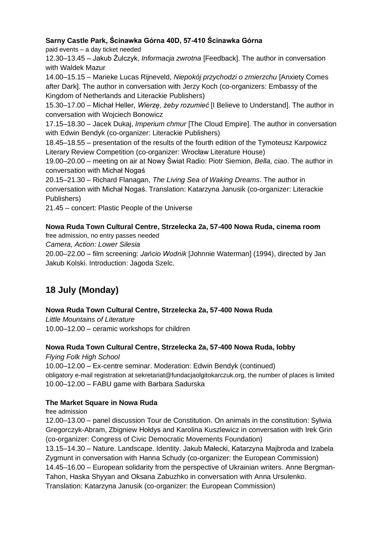## **Sarny Castle Park, Ścinawka Górna 40D, 57-410 Ścinawka Górna**

paid events – a day ticket needed

12.30–13.45 – Jakub Żulczyk, *Informacja zwrotna* [Feedback]. The author in conversation with Waldek Mazur

14.00–15.15 – Marieke Lucas Rijneveld, *Niepokój przychodzi o zmierzchu* [Anxiety Comes after Dark]. The author in conversation with Jerzy Koch (co-organizers: Embassy of the Kingdom of Netherlands and Literackie Publishers)

15.30–17.00 – Michał Heller, *Wierzę, żeby rozumieć* [I Believe to Understand]. The author in conversation with Wojciech Bonowicz

17.15–18.30 – Jacek Dukaj, *Imperium chmur* [The Cloud Empire]. The author in conversation with Edwin Bendyk (co-organizer: Literackie Publishers)

18.45–18.55 – presentation of the results of the fourth edition of the Tymoteusz Karpowicz Literary Review Competition (co-organizer: Wrocław Literature House)

19.00–20.00 – meeting on air at Nowy Świat Radio: Piotr Siemion, *Bella, ciao*. The author in conversation with Michał Nogaś

20.15–21.30 – Richard Flanagan, *The Living Sea of Waking Dreams*. The author in conversation with Michał Nogaś. Translation: Katarzyna Janusik (co-organizer: Literackie Publishers)

21.45 – concert: Plastic People of the Universe

## **Nowa Ruda Town Cultural Centre, Strzelecka 2a, 57-400 Nowa Ruda, cinema room**

free admission, no entry passes needed

*Camera, Action: Lower Silesia*

20.00–22.00 – film screening: *Jańcio Wodnik* [Johnnie Waterman] (1994), directed by Jan Jakub Kolski. Introduction: Jagoda Szelc.

# **18 July (Monday)**

## **Nowa Ruda Town Cultural Centre, Strzelecka 2a, 57-400 Nowa Ruda**

*Little Mountains of Literature* 10.00–12.00 – ceramic workshops for children

### **Nowa Ruda Town Cultural Centre, Strzelecka 2a, 57-400 Nowa Ruda, lobby**

*Flying Folk High School* 10.00–12.00 – Ex-centre seminar. Moderation: Edwin Bendyk (continued)

obligatory e-mail registration at sekretariat@fundacjaolgitokarczuk.org, the number of places is limited 10.00–12.00 – FABU game with Barbara Sadurska

## **The Market Square in Nowa Ruda**

free admission

12.00–13.00 – panel discussion Tour de Constitution. On animals in the constitution: Sylwia Gregorczyk-Abram, Zbigniew Hołdys and Karolina Kuszlewicz in conversation with Irek Grin (co-organizer: Congress of Civic Democratic Movements Foundation)

13.15–14.30 – Nature. Landscape. Identity. Jakub Małecki, Katarzyna Majbroda and Izabela Zygmunt in conversation with Hanna Schudy (co-organizer: the European Commission) 14.45–16.00 – European solidarity from the perspective of Ukrainian writers. Anne Bergman-

Tahon, Haska Shyyan and Oksana Zabuzhko in conversation with Anna Ursulenko.

Translation: Katarzyna Janusik (co-organizer: the European Commission)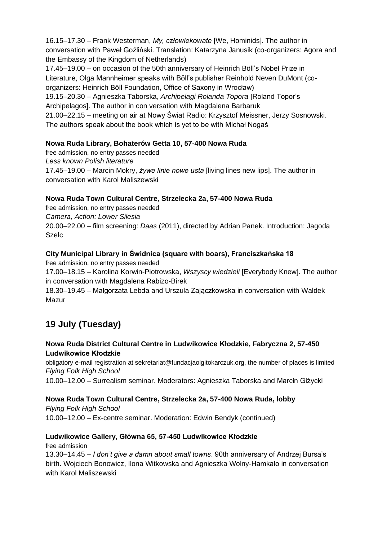16.15–17.30 – Frank Westerman, *My, człowiekowate* [We, Hominids]. The author in conversation with Paweł Goźliński. Translation: Katarzyna Janusik (co-organizers: Agora and the Embassy of the Kingdom of Netherlands)

17.45–19.00 – on occasion of the 50th anniversary of Heinrich Böll's Nobel Prize in Literature, Olga Mannheimer speaks with Böll's publisher Reinhold Neven DuMont (coorganizers: Heinrich Böll Foundation, Office of Saxony in Wrocław)

19.15–20.30 – Agnieszka Taborska, *Archipelagi Rolanda Topora* [Roland Topor's Archipelagos]. The author in con versation with Magdalena Barbaruk

21.00–22.15 – meeting on air at Nowy Świat Radio: Krzysztof Meissner, Jerzy Sosnowski. The authors speak about the book which is yet to be with Michał Nogaś

## **Nowa Ruda Library, Bohaterów Getta 10, 57-400 Nowa Ruda**

free admission, no entry passes needed *Less known Polish literature* 17.45–19.00 – Marcin Mokry, *żywe linie nowe usta* [living lines new lips]. The author in conversation with Karol Maliszewski

## **Nowa Ruda Town Cultural Centre, Strzelecka 2a, 57-400 Nowa Ruda**

free admission, no entry passes needed *Camera, Action: Lower Silesia* 20.00–22.00 – film screening: *Daas* (2011), directed by Adrian Panek. Introduction: Jagoda Szelc

## **City Municipal Library in Świdnica (square with boars), Franciszkańska 18**

free admission, no entry passes needed

17.00–18.15 – Karolina Korwin-Piotrowska, *Wszyscy wiedzieli* [Everybody Knew]. The author in conversation with Magdalena Rabizo-Birek

18.30–19.45 – Małgorzata Lebda and Urszula Zajączkowska in conversation with Waldek Mazur

# **19 July (Tuesday)**

### **Nowa Ruda District Cultural Centre in Ludwikowice Kłodzkie, Fabryczna 2, 57-450 Ludwikowice Kłodzkie**

obligatory e-mail registration at sekretariat@fundacjaolgitokarczuk.org, the number of places is limited *Flying Folk High School*

10.00–12.00 – Surrealism seminar. Moderators: Agnieszka Taborska and Marcin Giżycki

### **Nowa Ruda Town Cultural Centre, Strzelecka 2a, 57-400 Nowa Ruda, lobby**

*Flying Folk High School* 10.00–12.00 – Ex-centre seminar. Moderation: Edwin Bendyk (continued)

### **Ludwikowice Gallery, Główna 65, 57-450 Ludwikowice Kłodzkie**

free admission

13.30–14.45 – *I don't give a damn about small towns*. 90th anniversary of Andrzej Bursa's birth. Wojciech Bonowicz, Ilona Witkowska and Agnieszka Wolny-Hamkało in conversation with Karol Maliszewski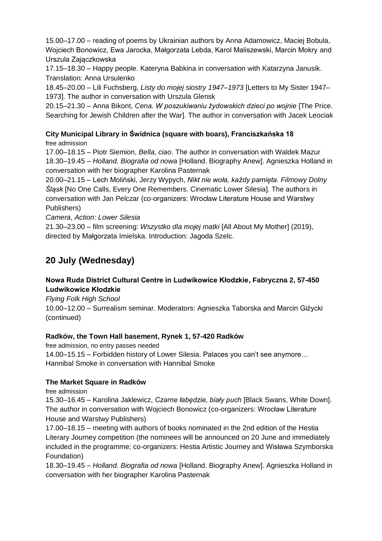15.00–17.00 – reading of poems by Ukrainian authors by Anna Adamowicz, Maciej Bobula, Wojciech Bonowicz, Ewa Jarocka, Małgorzata Lebda, Karol Maliszewski, Marcin Mokry and Urszula Zajączkowska

17.15–18.30 – Happy people. Kateryna Babkina in conversation with Katarzyna Janusik. Translation: Anna Ursulenko

18.45–20.00 – Lili Fuchsberg, *Listy do mojej siostry 1947–1973* [Letters to My Sister 1947– 1973]. The author in conversation with Urszula Glensk

20.15–21.30 – Anna Bikont, *Cena. W poszukiwaniu żydowskich dzieci po wojnie* [The Price. Searching for Jewish Children after the War]. The author in conversation with Jacek Leociak

#### **City Municipal Library in Świdnica (square with boars), Franciszkańska 18** free admission

17.00–18.15 – Piotr Siemion, *Bella, ciao*. The author in conversation with Waldek Mazur 18.30–19.45 – *Holland. Biografia od nowa* [Holland. Biography Anew]. Agnieszka Holland in conversation with her biographer Karolina Pasternak

20.00–21.15 – Lech Moliński, Jerzy Wypych, *Nikt nie woła, każdy pamięta. Filmowy Dolny Śląsk* [No One Calls, Every One Remembers. Cinematic Lower Silesia]. The authors in conversation with Jan Pelczar (co-organizers: Wrocław Literature House and Warstwy Publishers)

*Camera, Action: Lower Silesia*

21.30–23.00 – film screening: *Wszystko dla mojej matki* [All About My Mother] (2019), directed by Małgorzata Imielska. Introduction: Jagoda Szelc.

# **20 July (Wednesday)**

## **Nowa Ruda District Cultural Centre in Ludwikowice Kłodzkie, Fabryczna 2, 57-450 Ludwikowice Kłodzkie**

*Flying Folk High School*

10.00–12.00 – Surrealism seminar. Moderators: Agnieszka Taborska and Marcin Giżycki (continued)

### **Radków, the Town Hall basement, Rynek 1, 57-420 Radków**

free admission, no entry passes needed 14.00–15.15 – Forbidden history of Lower Silesia. Palaces you can't see anymore… Hannibal Smoke in conversation with Hannibal Smoke

## **The Market Square in Radków**

free admission

15.30–16.45 – Karolina Jaklewicz, *Czarne łabędzie, biały puch* [Black Swans, White Down]. The author in conversation with Wojciech Bonowicz (co-organizers: Wrocław Literature House and Warstwy Publishers)

17.00–18.15 – meeting with authors of books nominated in the 2nd edition of the Hestia Literary Journey competition (the nominees will be announced on 20 June and immediately included in the programme; co-organizers: Hestia Artistic Journey and Wisława Szymborska Foundation)

18.30–19.45 – *Holland. Biografia od nowa* [Holland. Biography Anew]. Agnieszka Holland in conversation with her biographer Karolina Pasternak